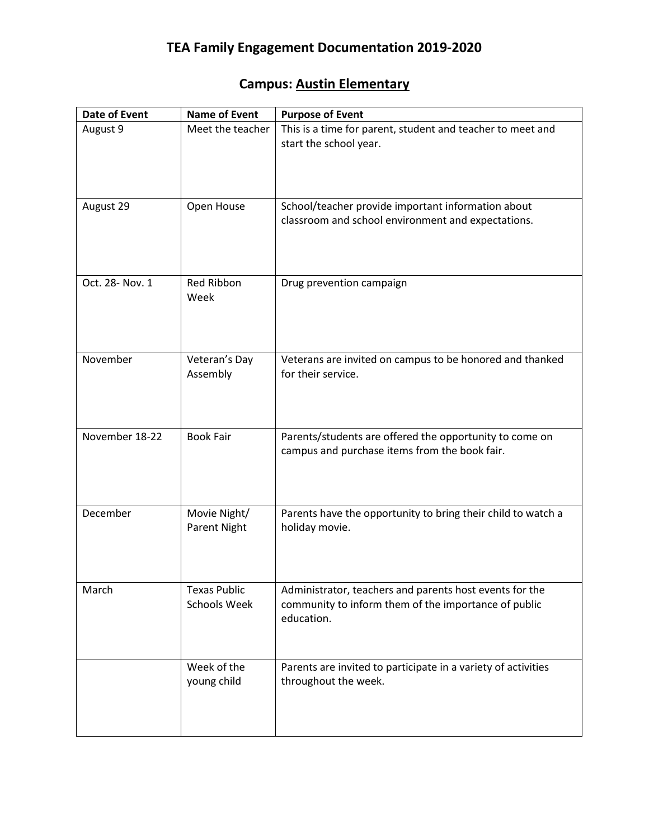## **Campus: Austin Elementary**

| <b>Date of Event</b> | <b>Name of Event</b>                | <b>Purpose of Event</b>                                                                                                       |
|----------------------|-------------------------------------|-------------------------------------------------------------------------------------------------------------------------------|
| August 9             | Meet the teacher                    | This is a time for parent, student and teacher to meet and<br>start the school year.                                          |
| August 29            | Open House                          | School/teacher provide important information about<br>classroom and school environment and expectations.                      |
| Oct. 28- Nov. 1      | Red Ribbon<br>Week                  | Drug prevention campaign                                                                                                      |
| November             | Veteran's Day<br>Assembly           | Veterans are invited on campus to be honored and thanked<br>for their service.                                                |
| November 18-22       | <b>Book Fair</b>                    | Parents/students are offered the opportunity to come on<br>campus and purchase items from the book fair.                      |
| December             | Movie Night/<br>Parent Night        | Parents have the opportunity to bring their child to watch a<br>holiday movie.                                                |
| March                | <b>Texas Public</b><br>Schools Week | Administrator, teachers and parents host events for the<br>community to inform them of the importance of public<br>education. |
|                      | Week of the<br>young child          | Parents are invited to participate in a variety of activities<br>throughout the week.                                         |